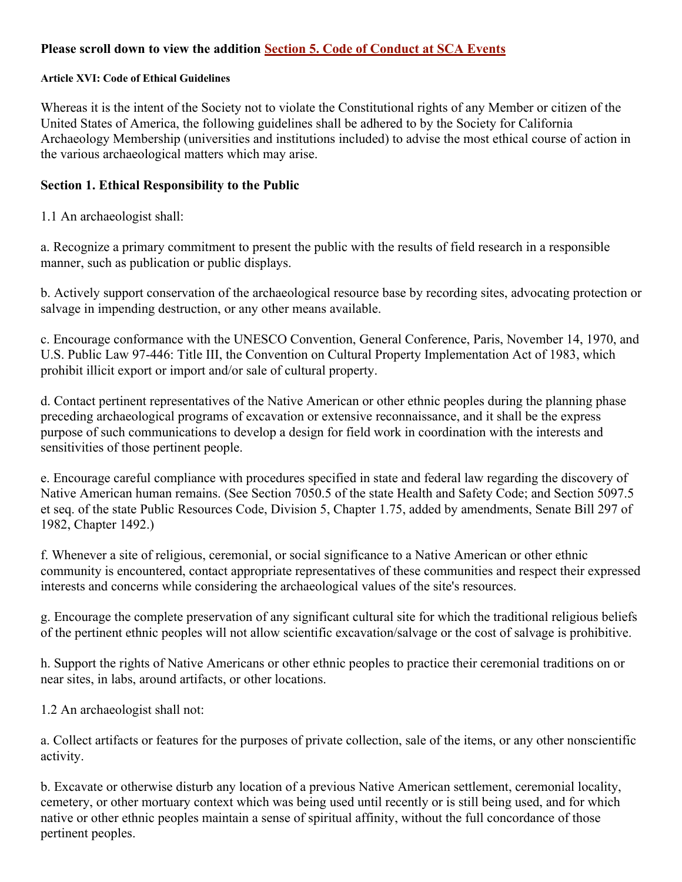## **Please scroll down to view the addition Section 5. Code of Conduct at SCA Events**

#### **Article XVI: Code of Ethical Guidelines**

Whereas it is the intent of the Society not to violate the Constitutional rights of any Member or citizen of the United States of America, the following guidelines shall be adhered to by the Society for California Archaeology Membership (universities and institutions included) to advise the most ethical course of action in the various archaeological matters which may arise.

#### **Section 1. Ethical Responsibility to the Public**

1.1 An archaeologist shall:

a. Recognize a primary commitment to present the public with the results of field research in a responsible manner, such as publication or public displays.

b. Actively support conservation of the archaeological resource base by recording sites, advocating protection or salvage in impending destruction, or any other means available.

c. Encourage conformance with the UNESCO Convention, General Conference, Paris, November 14, 1970, and U.S. Public Law 97-446: Title III, the Convention on Cultural Property Implementation Act of 1983, which prohibit illicit export or import and/or sale of cultural property.

d. Contact pertinent representatives of the Native American or other ethnic peoples during the planning phase preceding archaeological programs of excavation or extensive reconnaissance, and it shall be the express purpose of such communications to develop a design for field work in coordination with the interests and sensitivities of those pertinent people.

e. Encourage careful compliance with procedures specified in state and federal law regarding the discovery of Native American human remains. (See Section 7050.5 of the state Health and Safety Code; and Section 5097.5 et seq. of the state Public Resources Code, Division 5, Chapter 1.75, added by amendments, Senate Bill 297 of 1982, Chapter 1492.)

f. Whenever a site of religious, ceremonial, or social significance to a Native American or other ethnic community is encountered, contact appropriate representatives of these communities and respect their expressed interests and concerns while considering the archaeological values of the site's resources.

g. Encourage the complete preservation of any significant cultural site for which the traditional religious beliefs of the pertinent ethnic peoples will not allow scientific excavation/salvage or the cost of salvage is prohibitive.

h. Support the rights of Native Americans or other ethnic peoples to practice their ceremonial traditions on or near sites, in labs, around artifacts, or other locations.

1.2 An archaeologist shall not:

a. Collect artifacts or features for the purposes of private collection, sale of the items, or any other nonscientific activity.

b. Excavate or otherwise disturb any location of a previous Native American settlement, ceremonial locality, cemetery, or other mortuary context which was being used until recently or is still being used, and for which native or other ethnic peoples maintain a sense of spiritual affinity, without the full concordance of those pertinent peoples.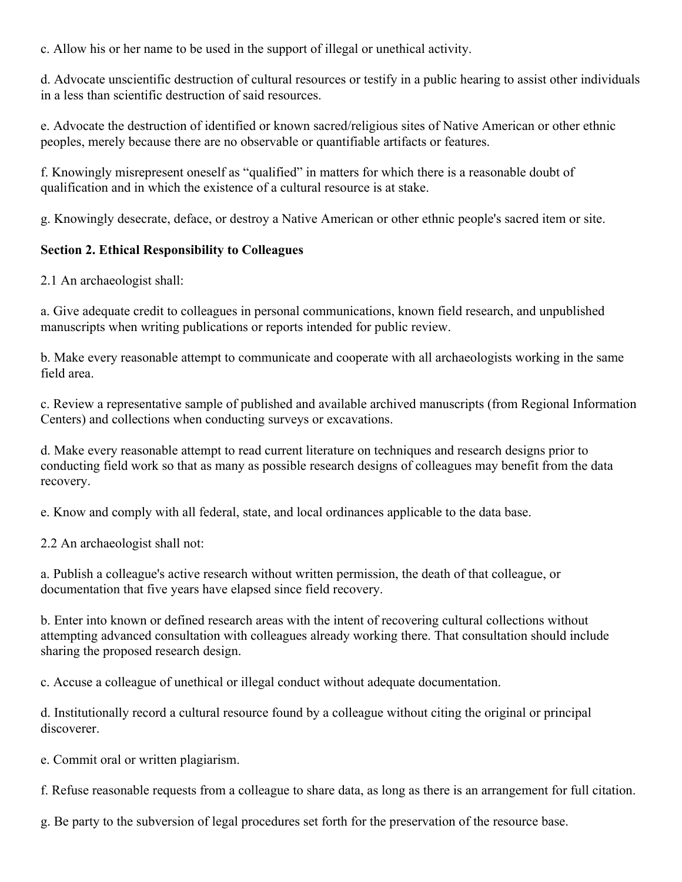c. Allow his or her name to be used in the support of illegal or unethical activity.

d. Advocate unscientific destruction of cultural resources or testify in a public hearing to assist other individuals in a less than scientific destruction of said resources.

e. Advocate the destruction of identified or known sacred/religious sites of Native American or other ethnic peoples, merely because there are no observable or quantifiable artifacts or features.

f. Knowingly misrepresent oneself as "qualified" in matters for which there is a reasonable doubt of qualification and in which the existence of a cultural resource is at stake.

g. Knowingly desecrate, deface, or destroy a Native American or other ethnic people's sacred item or site.

### **Section 2. Ethical Responsibility to Colleagues**

2.1 An archaeologist shall:

a. Give adequate credit to colleagues in personal communications, known field research, and unpublished manuscripts when writing publications or reports intended for public review.

b. Make every reasonable attempt to communicate and cooperate with all archaeologists working in the same field area.

c. Review a representative sample of published and available archived manuscripts (from Regional Information Centers) and collections when conducting surveys or excavations.

d. Make every reasonable attempt to read current literature on techniques and research designs prior to conducting field work so that as many as possible research designs of colleagues may benefit from the data recovery.

e. Know and comply with all federal, state, and local ordinances applicable to the data base.

2.2 An archaeologist shall not:

a. Publish a colleague's active research without written permission, the death of that colleague, or documentation that five years have elapsed since field recovery.

b. Enter into known or defined research areas with the intent of recovering cultural collections without attempting advanced consultation with colleagues already working there. That consultation should include sharing the proposed research design.

c. Accuse a colleague of unethical or illegal conduct without adequate documentation.

d. Institutionally record a cultural resource found by a colleague without citing the original or principal discoverer.

e. Commit oral or written plagiarism.

f. Refuse reasonable requests from a colleague to share data, as long as there is an arrangement for full citation.

g. Be party to the subversion of legal procedures set forth for the preservation of the resource base.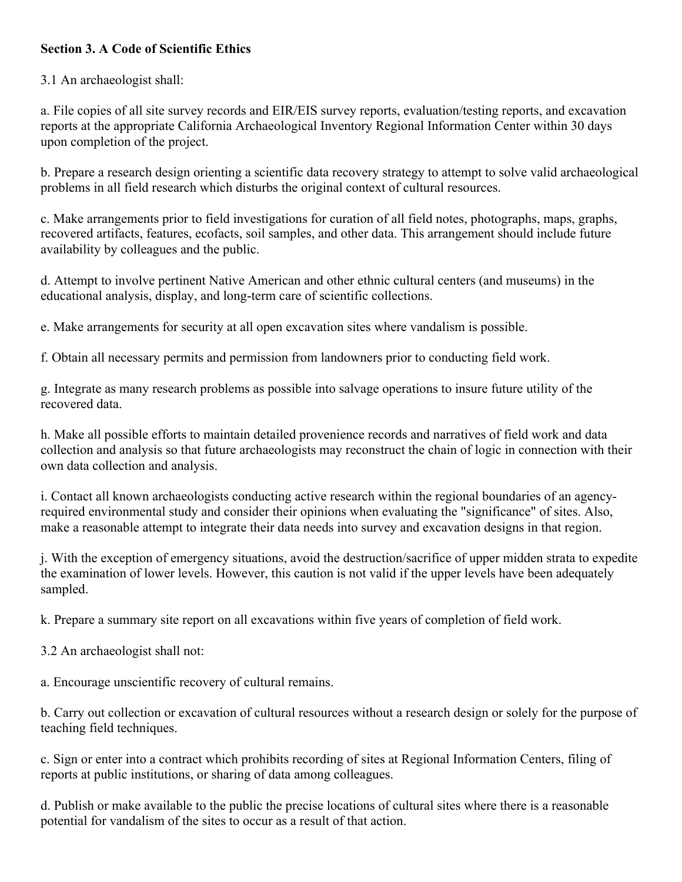## **Section 3. A Code of Scientific Ethics**

#### 3.1 An archaeologist shall:

a. File copies of all site survey records and EIR/EIS survey reports, evaluation/testing reports, and excavation reports at the appropriate California Archaeological Inventory Regional Information Center within 30 days upon completion of the project.

b. Prepare a research design orienting a scientific data recovery strategy to attempt to solve valid archaeological problems in all field research which disturbs the original context of cultural resources.

c. Make arrangements prior to field investigations for curation of all field notes, photographs, maps, graphs, recovered artifacts, features, ecofacts, soil samples, and other data. This arrangement should include future availability by colleagues and the public.

d. Attempt to involve pertinent Native American and other ethnic cultural centers (and museums) in the educational analysis, display, and long-term care of scientific collections.

e. Make arrangements for security at all open excavation sites where vandalism is possible.

f. Obtain all necessary permits and permission from landowners prior to conducting field work.

g. Integrate as many research problems as possible into salvage operations to insure future utility of the recovered data.

h. Make all possible efforts to maintain detailed provenience records and narratives of field work and data collection and analysis so that future archaeologists may reconstruct the chain of logic in connection with their own data collection and analysis.

i. Contact all known archaeologists conducting active research within the regional boundaries of an agencyrequired environmental study and consider their opinions when evaluating the "significance" of sites. Also, make a reasonable attempt to integrate their data needs into survey and excavation designs in that region.

j. With the exception of emergency situations, avoid the destruction/sacrifice of upper midden strata to expedite the examination of lower levels. However, this caution is not valid if the upper levels have been adequately sampled.

k. Prepare a summary site report on all excavations within five years of completion of field work.

3.2 An archaeologist shall not:

a. Encourage unscientific recovery of cultural remains.

b. Carry out collection or excavation of cultural resources without a research design or solely for the purpose of teaching field techniques.

c. Sign or enter into a contract which prohibits recording of sites at Regional Information Centers, filing of reports at public institutions, or sharing of data among colleagues.

d. Publish or make available to the public the precise locations of cultural sites where there is a reasonable potential for vandalism of the sites to occur as a result of that action.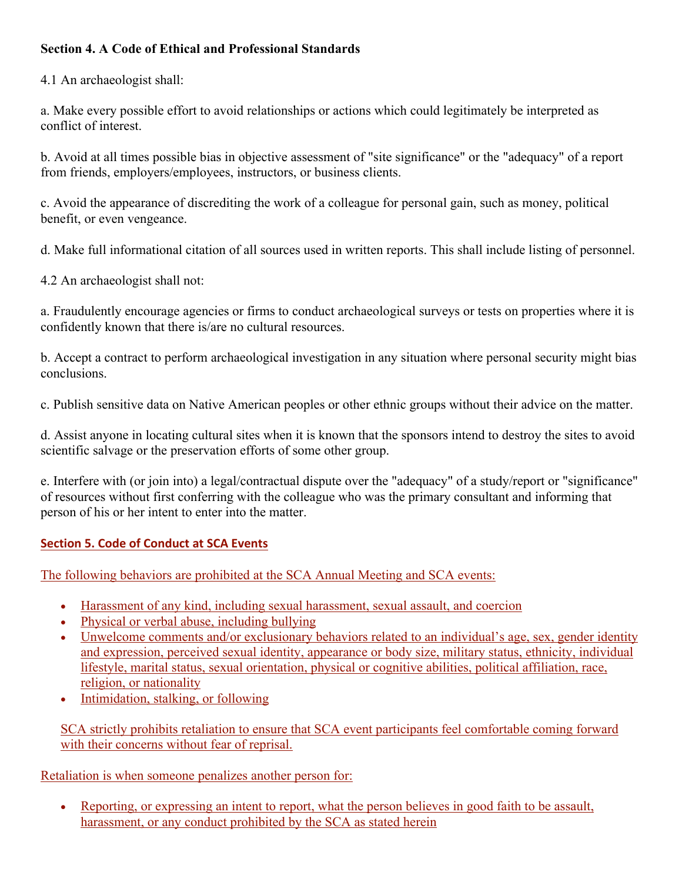# **Section 4. A Code of Ethical and Professional Standards**

4.1 An archaeologist shall:

a. Make every possible effort to avoid relationships or actions which could legitimately be interpreted as conflict of interest.

b. Avoid at all times possible bias in objective assessment of "site significance" or the "adequacy" of a report from friends, employers/employees, instructors, or business clients.

c. Avoid the appearance of discrediting the work of a colleague for personal gain, such as money, political benefit, or even vengeance.

d. Make full informational citation of all sources used in written reports. This shall include listing of personnel.

4.2 An archaeologist shall not:

a. Fraudulently encourage agencies or firms to conduct archaeological surveys or tests on properties where it is confidently known that there is/are no cultural resources.

b. Accept a contract to perform archaeological investigation in any situation where personal security might bias conclusions.

c. Publish sensitive data on Native American peoples or other ethnic groups without their advice on the matter.

d. Assist anyone in locating cultural sites when it is known that the sponsors intend to destroy the sites to avoid scientific salvage or the preservation efforts of some other group.

e. Interfere with (or join into) a legal/contractual dispute over the "adequacy" of a study/report or "significance" of resources without first conferring with the colleague who was the primary consultant and informing that person of his or her intent to enter into the matter.

## **Section 5. Code of Conduct at SCA Events**

The following behaviors are prohibited at the SCA Annual Meeting and SCA events:

- Harassment of any kind, including sexual harassment, sexual assault, and coercion
- Physical or verbal abuse, including bullying
- Unwelcome comments and/or exclusionary behaviors related to an individual's age, sex, gender identity and expression, perceived sexual identity, appearance or body size, military status, ethnicity, individual lifestyle, marital status, sexual orientation, physical or cognitive abilities, political affiliation, race, religion, or nationality
- Intimidation, stalking, or following

SCA strictly prohibits retaliation to ensure that SCA event participants feel comfortable coming forward with their concerns without fear of reprisal.

#### Retaliation is when someone penalizes another person for:

• Reporting, or expressing an intent to report, what the person believes in good faith to be assault, harassment, or any conduct prohibited by the SCA as stated herein